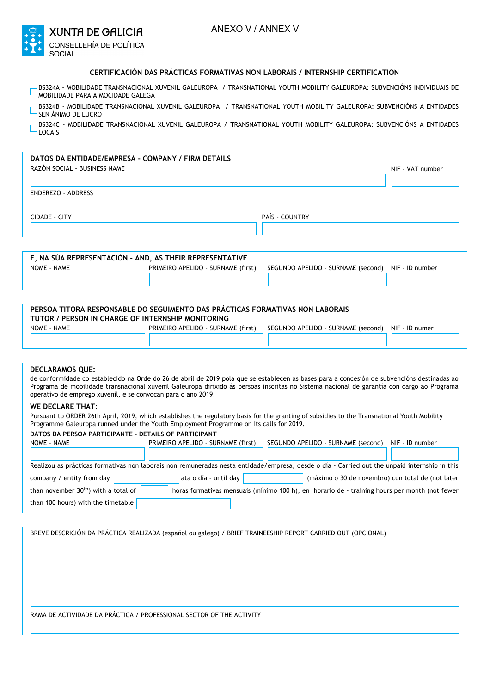| $+7.1$ | <b>XUNTA DE GALICIA</b>        |
|--------|--------------------------------|
|        | <b>CONSELLERÍA DE POLÍTICA</b> |
|        | SOCIAL                         |

## **CERTIFICACIÓN DAS PRÁCTICAS FORMATIVAS NON LABORAIS / INTERNSHIP CERTIFICATION**

- BS324A MOBILIDADE TRANSNACIONAL XUVENIL GALEUROPA / TRANSNATIONAL YOUTH MOBILITY GALEUROPA: SUBVENCIÓNS INDIVIDUAIS DE  $\Box$ MOBILIDADE PARA A MOCIDADE GALEGA
- BS324B MOBILIDADE TRANSNACIONAL XUVENIL GALEUROPA / TRANSNATIONAL YOUTH MOBILITY GALEUROPA: SUBVENCIÓNS A ENTIDADES SEN ÁNIMO DE LUCRO

BS324C - MOBILIDADE TRANSNACIONAL XUVENIL GALEUROPA / TRANSNATIONAL YOUTH MOBILITY GALEUROPA: SUBVENCIÓNS A ENTIDADES D<sub>book</sub>

# **DATOS DA ENTIDADE/EMPRESA - COMPANY / FIRM DETAILS**

| RAZÓN SOCIAL - BUSINESS NAME |                | NIF - VAT number |
|------------------------------|----------------|------------------|
|                              |                |                  |
| ENDEREZO - ADDRESS           |                |                  |
|                              |                |                  |
| CIDADE - CITY                | PAÍS - COUNTRY |                  |
|                              |                |                  |

| E. NA SÚA REPRESENTACIÓN - AND. AS THEIR REPRESENTATIVE |                                    |                                    |                 |  |  |
|---------------------------------------------------------|------------------------------------|------------------------------------|-----------------|--|--|
| NOME - NAME                                             | PRIMEIRO APELIDO - SURNAME (first) | SEGUNDO APELIDO - SURNAME (second) | NIF - ID number |  |  |
|                                                         |                                    |                                    |                 |  |  |

| PERSOA TITORA RESPONSABLE DO SEGUIMENTO DAS PRÁCTICAS FORMATIVAS NON LABORAIS<br>TUTOR / PERSON IN CHARGE OF INTERNSHIP MONITORING |                                    |                                    |                |  |
|------------------------------------------------------------------------------------------------------------------------------------|------------------------------------|------------------------------------|----------------|--|
| NOME - NAME                                                                                                                        | PRIMEIRO APELIDO - SURNAME (first) | SEGUNDO APELIDO - SURNAME (second) | NIF - ID numer |  |
|                                                                                                                                    |                                    |                                    |                |  |

## **DECLARAMOS QUE:**

de conformidade co establecido na Orde do 26 de abril de 2019 pola que se establecen as bases para a concesión de subvencións destinadas ao Programa de mobilidade transnacional xuvenil Galeuropa dirixido ás persoas inscritas no Sistema nacional de garantía con cargo ao Programa operativo de emprego xuvenil, e se convocan para o ano 2019.

#### **WE DECLARE THAT:**

Pursuant to ORDER 26th April, 2019, which establishes the regulatory basis for the granting of subsidies to the Transnational Youth Mobility Programme Galeuropa runned under the Youth Employment Programme on its calls for 2019.

#### **DATOS DA PERSOA PARTICIPANTE - DETAILS OF PARTICIPANT**

| NOME - NAME                                                                                                                                   |  | PRIMEIRO APELIDO - SURNAME (first) |                       | SEGUNDO APELIDO - SURNAME (second) |  | NIF - ID number                                                                               |  |
|-----------------------------------------------------------------------------------------------------------------------------------------------|--|------------------------------------|-----------------------|------------------------------------|--|-----------------------------------------------------------------------------------------------|--|
|                                                                                                                                               |  |                                    |                       |                                    |  |                                                                                               |  |
| Realizou as prácticas formativas non laborais non remuneradas nesta entidade/empresa, desde o día - Carried out the unpaid internship in this |  |                                    |                       |                                    |  |                                                                                               |  |
| company / entity from day                                                                                                                     |  |                                    | ata o día - until day |                                    |  | (máximo o 30 de novembro) cun total de (not later                                             |  |
| than november 30 <sup>th</sup> ) with a total of                                                                                              |  |                                    |                       |                                    |  | horas formativas mensuais (mínimo 100 h), en horario de - training hours per month (not fewer |  |
| than 100 hours) with the timetable                                                                                                            |  |                                    |                       |                                    |  |                                                                                               |  |

BREVE DESCRICIÓN DA PRÁCTICA REALIZADA (español ou galego) / BRIEF TRAINEESHIP REPORT CARRIED OUT (OPCIONAL)

RAMA DE ACTIVIDADE DA PRÁCTICA / PROFESSIONAL SECTOR OF THE ACTIVITY